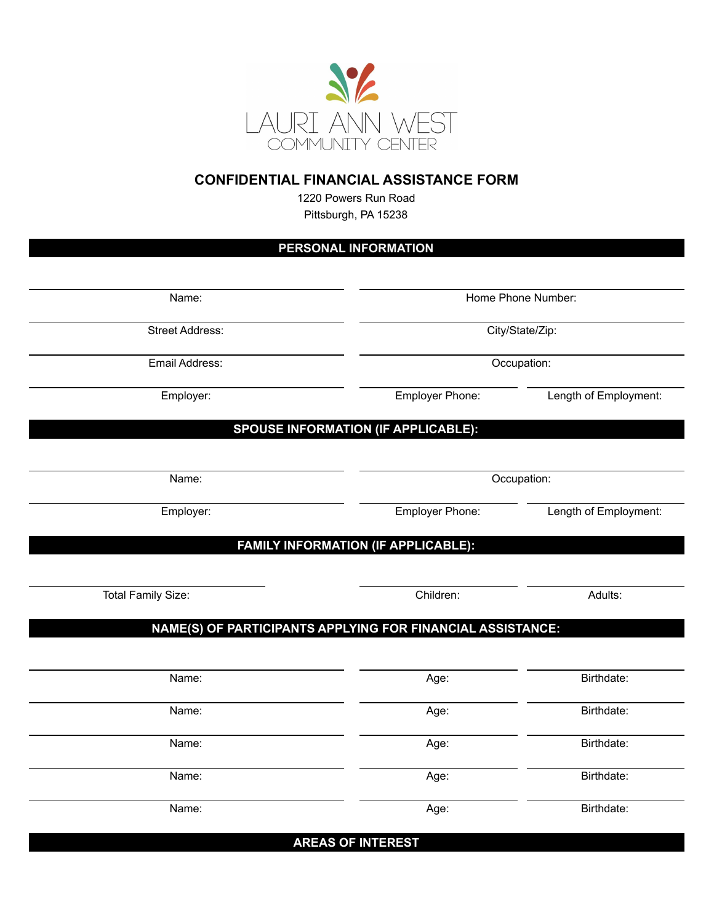

## **CONFIDENTIAL FINANCIAL ASSISTANCE FORM**

1220 Powers Run Road Pittsburgh, PA 15238

## **PERSONAL INFORMATION**

| Home Phone Number:<br>City/State/Zip:<br>Occupation:<br>Employer Phone:<br>Length of Employment:<br><b>SPOUSE INFORMATION (IF APPLICABLE):</b><br>Occupation:<br>Employer Phone:<br>Length of Employment: |
|-----------------------------------------------------------------------------------------------------------------------------------------------------------------------------------------------------------|
|                                                                                                                                                                                                           |
|                                                                                                                                                                                                           |
|                                                                                                                                                                                                           |
|                                                                                                                                                                                                           |
|                                                                                                                                                                                                           |
|                                                                                                                                                                                                           |
|                                                                                                                                                                                                           |
| FAMILY INFORMATION (IF APPLICABLE):                                                                                                                                                                       |
| Adults:                                                                                                                                                                                                   |
| NAME(S) OF PARTICIPANTS APPLYING FOR FINANCIAL ASSISTANCE:                                                                                                                                                |
| Birthdate:                                                                                                                                                                                                |
| Birthdate:                                                                                                                                                                                                |
| Birthdate:                                                                                                                                                                                                |
|                                                                                                                                                                                                           |
| Birthdate:                                                                                                                                                                                                |
|                                                                                                                                                                                                           |